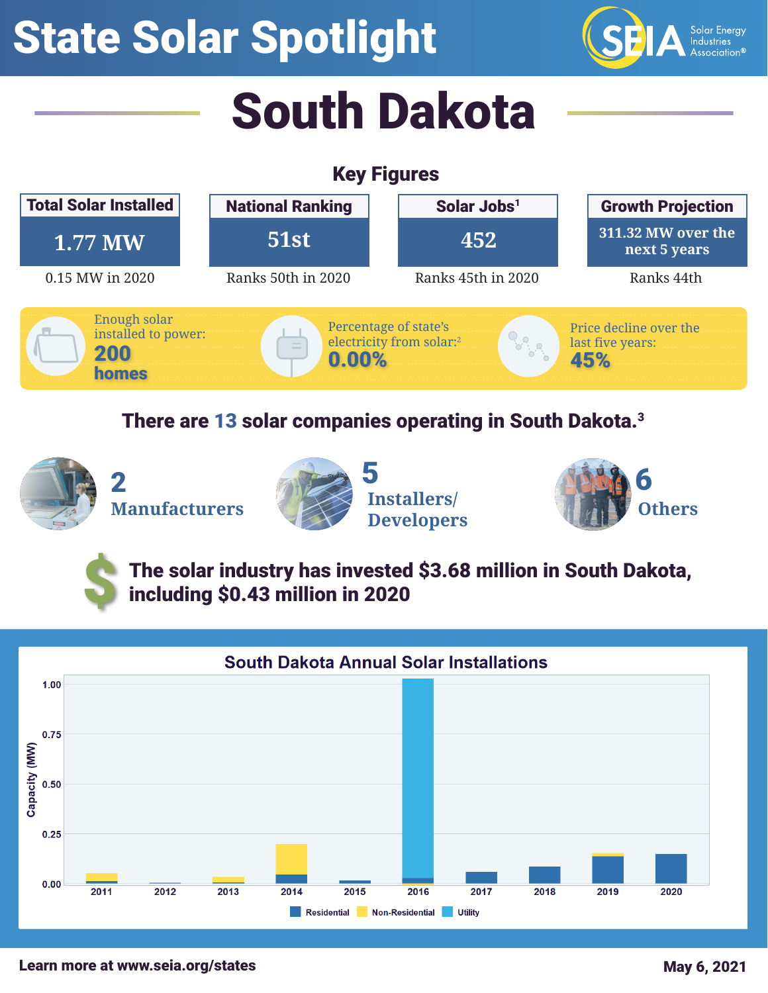## State Solar Spotlight



# South Dakota

## Key Figures



#### There are 13 solar companies operating in South Dakota.<sup>3</sup>

**Manufacturers Installers/**

\$





The solar industry has invested \$3.68 million in South Dakota, including \$0.43 million in 2020